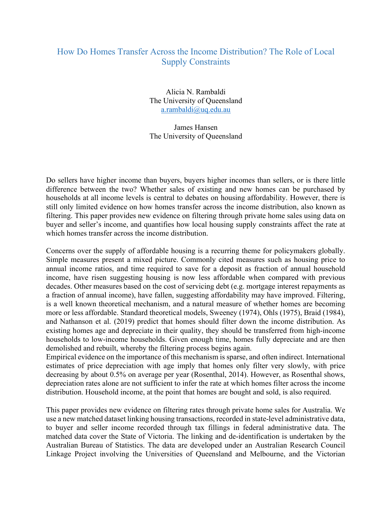## How Do Homes Transfer Across the Income Distribution? The Role of Local Supply Constraints

Alicia N. Rambaldi The University of Queensland a.rambaldi@uq.edu.au

James Hansen The University of Queensland

Do sellers have higher income than buyers, buyers higher incomes than sellers, or is there little difference between the two? Whether sales of existing and new homes can be purchased by households at all income levels is central to debates on housing affordability. However, there is still only limited evidence on how homes transfer across the income distribution, also known as filtering. This paper provides new evidence on filtering through private home sales using data on buyer and seller's income, and quantifies how local housing supply constraints affect the rate at which homes transfer across the income distribution.

Concerns over the supply of affordable housing is a recurring theme for policymakers globally. Simple measures present a mixed picture. Commonly cited measures such as housing price to annual income ratios, and time required to save for a deposit as fraction of annual household income, have risen suggesting housing is now less affordable when compared with previous decades. Other measures based on the cost of servicing debt (e.g. mortgage interest repayments as a fraction of annual income), have fallen, suggesting affordability may have improved. Filtering, is a well known theoretical mechanism, and a natural measure of whether homes are becoming more or less affordable. Standard theoretical models, Sweeney (1974), Ohls (1975), Braid (1984), and Nathanson et al. (2019) predict that homes should filter down the income distribution. As existing homes age and depreciate in their quality, they should be transferred from high-income households to low-income households. Given enough time, homes fully depreciate and are then demolished and rebuilt, whereby the filtering process begins again.

Empirical evidence on the importance of this mechanism is sparse, and often indirect. International estimates of price depreciation with age imply that homes only filter very slowly, with price decreasing by about 0.5% on average per year (Rosenthal, 2014). However, as Rosenthal shows, depreciation rates alone are not sufficient to infer the rate at which homes filter across the income distribution. Household income, at the point that homes are bought and sold, is also required.

This paper provides new evidence on filtering rates through private home sales for Australia. We use a new matched dataset linking housing transactions, recorded in state-level administrative data, to buyer and seller income recorded through tax fillings in federal administrative data. The matched data cover the State of Victoria. The linking and de-identification is undertaken by the Australian Bureau of Statistics. The data are developed under an Australian Research Council Linkage Project involving the Universities of Queensland and Melbourne, and the Victorian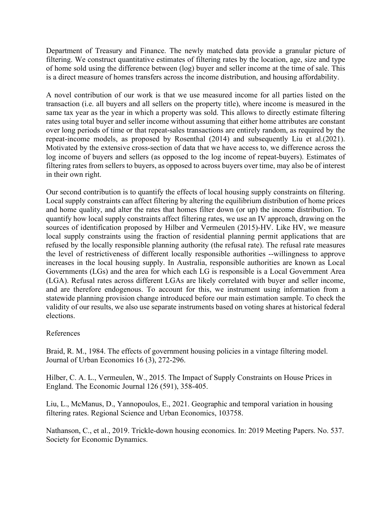Department of Treasury and Finance. The newly matched data provide a granular picture of filtering. We construct quantitative estimates of filtering rates by the location, age, size and type of home sold using the difference between (log) buyer and seller income at the time of sale. This is a direct measure of homes transfers across the income distribution, and housing affordability.

A novel contribution of our work is that we use measured income for all parties listed on the transaction (i.e. all buyers and all sellers on the property title), where income is measured in the same tax year as the year in which a property was sold. This allows to directly estimate filtering rates using total buyer and seller income without assuming that either home attributes are constant over long periods of time or that repeat-sales transactions are entirely random, as required by the repeat-income models, as proposed by Rosenthal (2014) and subsequently Liu et al.(2021). Motivated by the extensive cross-section of data that we have access to, we difference across the log income of buyers and sellers (as opposed to the log income of repeat-buyers). Estimates of filtering rates from sellers to buyers, as opposed to across buyers over time, may also be of interest in their own right.

Our second contribution is to quantify the effects of local housing supply constraints on filtering. Local supply constraints can affect filtering by altering the equilibrium distribution of home prices and home quality, and alter the rates that homes filter down (or up) the income distribution. To quantify how local supply constraints affect filtering rates, we use an IV approach, drawing on the sources of identification proposed by Hilber and Vermeulen (2015)-HV. Like HV, we measure local supply constraints using the fraction of residential planning permit applications that are refused by the locally responsible planning authority (the refusal rate). The refusal rate measures the level of restrictiveness of different locally responsible authorities --willingness to approve increases in the local housing supply. In Australia, responsible authorities are known as Local Governments (LGs) and the area for which each LG is responsible is a Local Government Area (LGA). Refusal rates across different LGAs are likely correlated with buyer and seller income, and are therefore endogenous. To account for this, we instrument using information from a statewide planning provision change introduced before our main estimation sample. To check the validity of our results, we also use separate instruments based on voting shares at historical federal elections.

## References

Braid, R. M., 1984. The effects of government housing policies in a vintage filtering model. Journal of Urban Economics 16 (3), 272-296.

Hilber, C. A. L., Vermeulen, W., 2015. The Impact of Supply Constraints on House Prices in England. The Economic Journal 126 (591), 358-405.

Liu, L., McManus, D., Yannopoulos, E., 2021. Geographic and temporal variation in housing filtering rates. Regional Science and Urban Economics, 103758.

Nathanson, C., et al., 2019. Trickle-down housing economics. In: 2019 Meeting Papers. No. 537. Society for Economic Dynamics.